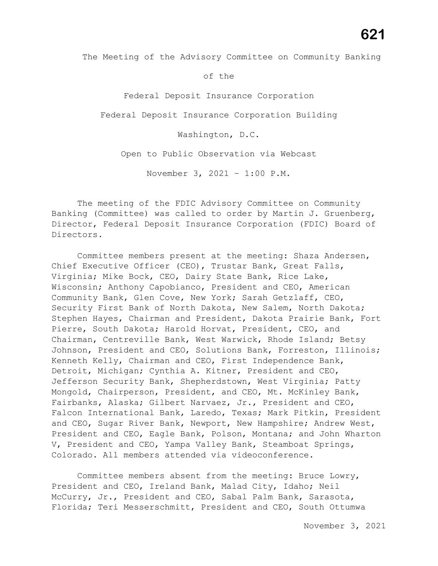of the

Federal Deposit Insurance Corporation

Federal Deposit Insurance Corporation Building

Washington, D.C.

Open to Public Observation via Webcast

November 3, 2021 – 1:00 P.M.

The meeting of the FDIC Advisory Committee on Community Banking (Committee) was called to order by Martin J. Gruenberg, Director, Federal Deposit Insurance Corporation (FDIC) Board of Directors.

Committee members present at the meeting: Shaza Andersen, Chief Executive Officer (CEO), Trustar Bank, Great Falls, Virginia; Mike Bock, CEO, Dairy State Bank, Rice Lake, Wisconsin; Anthony Capobianco, President and CEO, American Community Bank, Glen Cove, New York; Sarah Getzlaff, CEO, Security First Bank of North Dakota, New Salem, North Dakota; Stephen Hayes, Chairman and President, Dakota Prairie Bank, Fort Pierre, South Dakota; Harold Horvat, President, CEO, and Chairman, Centreville Bank, West Warwick, Rhode Island; Betsy Johnson, President and CEO, Solutions Bank, Forreston, Illinois; Kenneth Kelly, Chairman and CEO, First Independence Bank, Detroit, Michigan; Cynthia A. Kitner, President and CEO, Jefferson Security Bank, Shepherdstown, West Virginia; Patty Mongold, Chairperson, President, and CEO, Mt. McKinley Bank, Fairbanks, Alaska; Gilbert Narvaez, Jr., President and CEO, Falcon International Bank, Laredo, Texas; Mark Pitkin, President and CEO, Sugar River Bank, Newport, New Hampshire; Andrew West, President and CEO, Eagle Bank, Polson, Montana; and John Wharton V, President and CEO, Yampa Valley Bank, Steamboat Springs, Colorado. All members attended via videoconference.

Committee members absent from the meeting: Bruce Lowry, President and CEO, Ireland Bank, Malad City, Idaho; Neil McCurry, Jr., President and CEO, Sabal Palm Bank, Sarasota, Florida; Teri Messerschmitt, President and CEO, South Ottumwa

**621**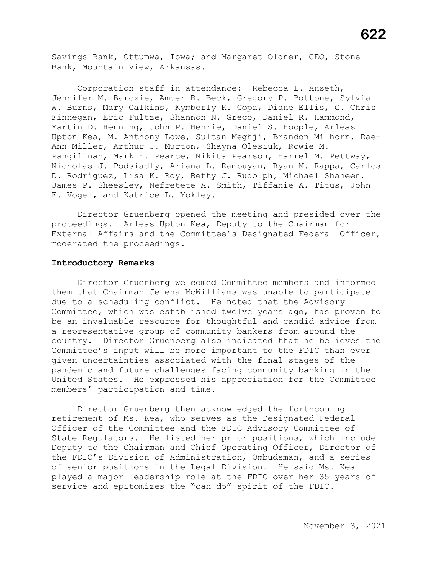Savings Bank, Ottumwa, Iowa; and Margaret Oldner, CEO, Stone Bank, Mountain View, Arkansas.

Corporation staff in attendance: Rebecca L. Anseth, Jennifer M. Barozie, Amber B. Beck, Gregory P. Bottone, Sylvia W. Burns, Mary Calkins, Kymberly K. Copa, Diane Ellis, G. Chris Finnegan, Eric Fultze, Shannon N. Greco, Daniel R. Hammond, Martin D. Henning, John P. Henrie, Daniel S. Hoople, Arleas Upton Kea, M. Anthony Lowe, Sultan Meghji, Brandon Milhorn, Rae-Ann Miller, Arthur J. Murton, Shayna Olesiuk, Rowie M. Pangilinan, Mark E. Pearce, Nikita Pearson, Harrel M. Pettway, Nicholas J. Podsiadly, Ariana L. Rambuyan, Ryan M. Rappa, Carlos D. Rodriguez, Lisa K. Roy, Betty J. Rudolph, Michael Shaheen, James P. Sheesley, Nefretete A. Smith, Tiffanie A. Titus, John F. Vogel, and Katrice L. Yokley.

Director Gruenberg opened the meeting and presided over the proceedings. Arleas Upton Kea, Deputy to the Chairman for External Affairs and the Committee's Designated Federal Officer, moderated the proceedings.

### **Introductory Remarks**

Director Gruenberg welcomed Committee members and informed them that Chairman Jelena McWilliams was unable to participate due to a scheduling conflict. He noted that the Advisory Committee, which was established twelve years ago, has proven to be an invaluable resource for thoughtful and candid advice from a representative group of community bankers from around the country. Director Gruenberg also indicated that he believes the Committee's input will be more important to the FDIC than ever given uncertainties associated with the final stages of the pandemic and future challenges facing community banking in the United States. He expressed his appreciation for the Committee members' participation and time.

Director Gruenberg then acknowledged the forthcoming retirement of Ms. Kea, who serves as the Designated Federal Officer of the Committee and the FDIC Advisory Committee of State Regulators. He listed her prior positions, which include Deputy to the Chairman and Chief Operating Officer, Director of the FDIC's Division of Administration, Ombudsman, and a series of senior positions in the Legal Division. He said Ms. Kea played a major leadership role at the FDIC over her 35 years of service and epitomizes the "can do" spirit of the FDIC.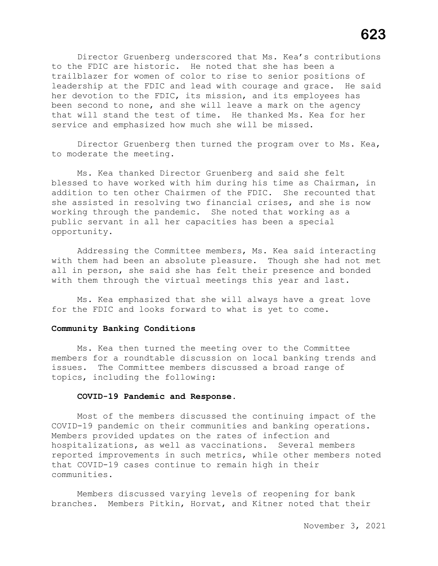Director Gruenberg underscored that Ms. Kea's contributions to the FDIC are historic. He noted that she has been a trailblazer for women of color to rise to senior positions of leadership at the FDIC and lead with courage and grace. He said her devotion to the FDIC, its mission, and its employees has been second to none, and she will leave a mark on the agency that will stand the test of time. He thanked Ms. Kea for her service and emphasized how much she will be missed.

Director Gruenberg then turned the program over to Ms. Kea, to moderate the meeting.

Ms. Kea thanked Director Gruenberg and said she felt blessed to have worked with him during his time as Chairman, in addition to ten other Chairmen of the FDIC. She recounted that she assisted in resolving two financial crises, and she is now working through the pandemic. She noted that working as a public servant in all her capacities has been a special opportunity.

Addressing the Committee members, Ms. Kea said interacting with them had been an absolute pleasure. Though she had not met all in person, she said she has felt their presence and bonded with them through the virtual meetings this year and last.

Ms. Kea emphasized that she will always have a great love for the FDIC and looks forward to what is yet to come.

# **Community Banking Conditions**

Ms. Kea then turned the meeting over to the Committee members for a roundtable discussion on local banking trends and issues. The Committee members discussed a broad range of topics, including the following:

## **COVID-19 Pandemic and Response.**

Most of the members discussed the continuing impact of the COVID-19 pandemic on their communities and banking operations. Members provided updates on the rates of infection and hospitalizations, as well as vaccinations. Several members reported improvements in such metrics, while other members noted that COVID-19 cases continue to remain high in their communities.

Members discussed varying levels of reopening for bank branches. Members Pitkin, Horvat, and Kitner noted that their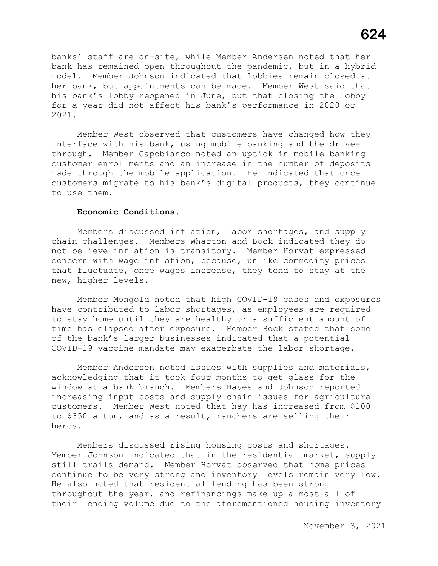banks' staff are on-site, while Member Andersen noted that her bank has remained open throughout the pandemic, but in a hybrid model. Member Johnson indicated that lobbies remain closed at her bank, but appointments can be made. Member West said that his bank's lobby reopened in June, but that closing the lobby for a year did not affect his bank's performance in 2020 or 2021.

Member West observed that customers have changed how they interface with his bank, using mobile banking and the drivethrough. Member Capobianco noted an uptick in mobile banking customer enrollments and an increase in the number of deposits made through the mobile application. He indicated that once customers migrate to his bank's digital products, they continue to use them.

# **Economic Conditions.**

Members discussed inflation, labor shortages, and supply chain challenges. Members Wharton and Bock indicated they do not believe inflation is transitory. Member Horvat expressed concern with wage inflation, because, unlike commodity prices that fluctuate, once wages increase, they tend to stay at the new, higher levels.

Member Mongold noted that high COVID-19 cases and exposures have contributed to labor shortages, as employees are required to stay home until they are healthy or a sufficient amount of time has elapsed after exposure. Member Bock stated that some of the bank's larger businesses indicated that a potential COVID-19 vaccine mandate may exacerbate the labor shortage.

Member Andersen noted issues with supplies and materials, acknowledging that it took four months to get glass for the window at a bank branch. Members Hayes and Johnson reported increasing input costs and supply chain issues for agricultural customers. Member West noted that hay has increased from \$100 to \$350 a ton, and as a result, ranchers are selling their herds.

Members discussed rising housing costs and shortages. Member Johnson indicated that in the residential market, supply still trails demand. Member Horvat observed that home prices continue to be very strong and inventory levels remain very low. He also noted that residential lending has been strong throughout the year, and refinancings make up almost all of their lending volume due to the aforementioned housing inventory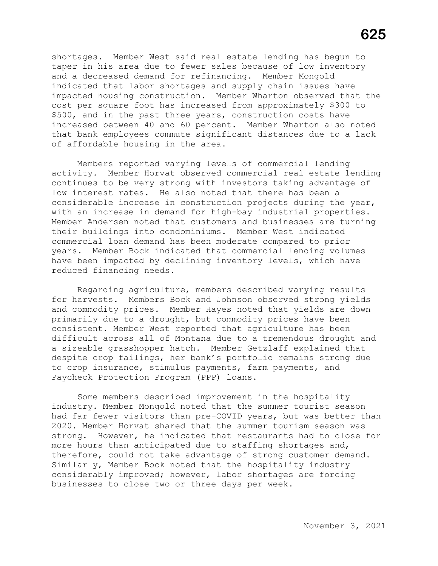shortages. Member West said real estate lending has begun to and a decreased demand for refinancing. Member Mongold impacted housing construction. Member Wharton observed that the increased between 40 and 60 percent. Member Wharton also noted taper in his area due to fewer sales because of low inventory indicated that labor shortages and supply chain issues have cost per square foot has increased from approximately \$300 to \$500, and in the past three years, construction costs have that bank employees commute significant distances due to a lack<br>of affordable housing in the area.

with an increase in demand for high-bay industrial properties. years. Member Bock indicated that commercial lending volumes Members reported varying levels of commercial lending activity. Member Horvat observed commercial real estate lending continues to be very strong with investors taking advantage of low interest rates. He also noted that there has been a considerable increase in construction projects during the year, Member Andersen noted that customers and businesses are turning their buildings into condominiums. Member West indicated commercial loan demand has been moderate compared to prior have been impacted by declining inventory levels, which have reduced financing needs.

 a sizeable grasshopper hatch. Member Getzlaff explained that Regarding agriculture, members described varying results for harvests. Members Bock and Johnson observed strong yields and commodity prices. Member Hayes noted that yields are down primarily due to a drought, but commodity prices have been consistent. Member West reported that agriculture has been difficult across all of Montana due to a tremendous drought and despite crop failings, her bank's portfolio remains strong due to crop insurance, stimulus payments, farm payments, and Paycheck Protection Program (PPP) loans.

 more hours than anticipated due to staffing shortages and, therefore, could not take advantage of strong customer demand. Some members described improvement in the hospitality industry. Member Mongold noted that the summer tourist season had far fewer visitors than pre-COVID years, but was better than 2020. Member Horvat shared that the summer tourism season was strong. However, he indicated that restaurants had to close for Similarly, Member Bock noted that the hospitality industry considerably improved; however, labor shortages are forcing businesses to close two or three days per week.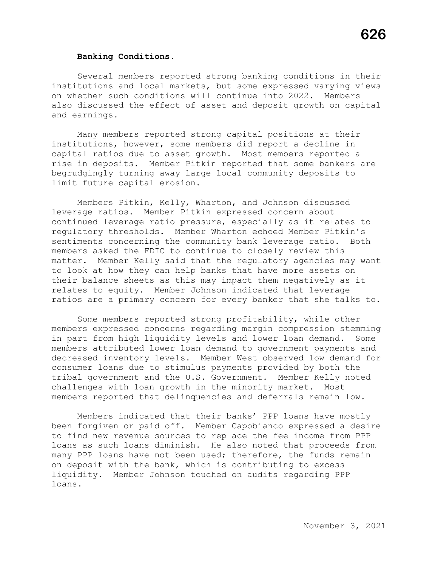## **Banking Conditions.**

Several members reported strong banking conditions in their institutions and local markets, but some expressed varying views on whether such conditions will continue into 2022. Members also discussed the effect of asset and deposit growth on capital and earnings.

Many members reported strong capital positions at their institutions, however, some members did report a decline in capital ratios due to asset growth. Most members reported a rise in deposits. Member Pitkin reported that some bankers are begrudgingly turning away large local community deposits to limit future capital erosion.

Members Pitkin, Kelly, Wharton, and Johnson discussed leverage ratios. Member Pitkin expressed concern about continued leverage ratio pressure, especially as it relates to regulatory thresholds. Member Wharton echoed Member Pitkin's sentiments concerning the community bank leverage ratio. Both members asked the FDIC to continue to closely review this matter. Member Kelly said that the regulatory agencies may want to look at how they can help banks that have more assets on their balance sheets as this may impact them negatively as it relates to equity. Member Johnson indicated that leverage ratios are a primary concern for every banker that she talks to.

Some members reported strong profitability, while other members expressed concerns regarding margin compression stemming in part from high liquidity levels and lower loan demand. Some members attributed lower loan demand to government payments and decreased inventory levels. Member West observed low demand for consumer loans due to stimulus payments provided by both the tribal government and the U.S. Government. Member Kelly noted challenges with loan growth in the minority market. Most members reported that delinquencies and deferrals remain low.

Members indicated that their banks' PPP loans have mostly been forgiven or paid off. Member Capobianco expressed a desire to find new revenue sources to replace the fee income from PPP loans as such loans diminish. He also noted that proceeds from many PPP loans have not been used; therefore, the funds remain on deposit with the bank, which is contributing to excess liquidity. Member Johnson touched on audits regarding PPP loans.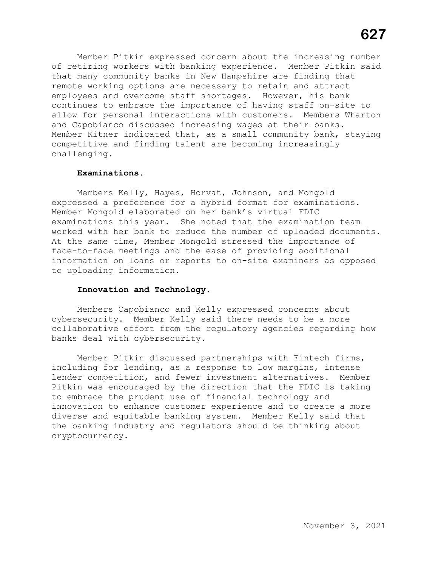Member Pitkin expressed concern about the increasing number of retiring workers with banking experience. Member Pitkin said that many community banks in New Hampshire are finding that remote working options are necessary to retain and attract employees and overcome staff shortages. However, his bank continues to embrace the importance of having staff on-site to allow for personal interactions with customers. Members Wharton and Capobianco discussed increasing wages at their banks. Member Kitner indicated that, as a small community bank, staying competitive and finding talent are becoming increasingly challenging.

#### **Examinations.**

Members Kelly, Hayes, Horvat, Johnson, and Mongold expressed a preference for a hybrid format for examinations. Member Mongold elaborated on her bank's virtual FDIC examinations this year. She noted that the examination team worked with her bank to reduce the number of uploaded documents. At the same time, Member Mongold stressed the importance of face-to-face meetings and the ease of providing additional information on loans or reports to on-site examiners as opposed to uploading information.

# **Innovation and Technology.**

Members Capobianco and Kelly expressed concerns about cybersecurity. Member Kelly said there needs to be a more collaborative effort from the regulatory agencies regarding how banks deal with cybersecurity.

Member Pitkin discussed partnerships with Fintech firms, including for lending, as a response to low margins, intense lender competition, and fewer investment alternatives. Member Pitkin was encouraged by the direction that the FDIC is taking to embrace the prudent use of financial technology and innovation to enhance customer experience and to create a more diverse and equitable banking system. Member Kelly said that the banking industry and regulators should be thinking about cryptocurrency.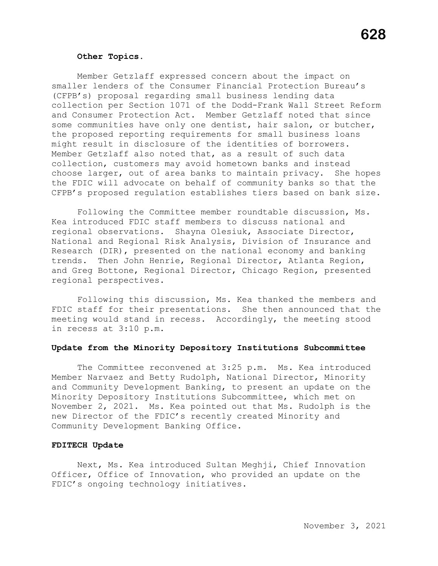#### **Other Topics**.

Member Getzlaff expressed concern about the impact on smaller lenders of the Consumer Financial Protection Bureau's (CFPB's) proposal regarding small business lending data collection per Section 1071 of the Dodd-Frank Wall Street Reform and Consumer Protection Act. Member Getzlaff noted that since some communities have only one dentist, hair salon, or butcher, the proposed reporting requirements for small business loans might result in disclosure of the identities of borrowers. Member Getzlaff also noted that, as a result of such data collection, customers may avoid hometown banks and instead choose larger, out of area banks to maintain privacy. She hopes the FDIC will advocate on behalf of community banks so that the CFPB's proposed regulation establishes tiers based on bank size.

Following the Committee member roundtable discussion, Ms. Kea introduced FDIC staff members to discuss national and regional observations. Shayna Olesiuk, Associate Director, National and Regional Risk Analysis, Division of Insurance and Research (DIR), presented on the national economy and banking trends. Then John Henrie, Regional Director, Atlanta Region, and Greg Bottone, Regional Director, Chicago Region, presented regional perspectives.

Following this discussion, Ms. Kea thanked the members and FDIC staff for their presentations. She then announced that the meeting would stand in recess. Accordingly, the meeting stood in recess at 3:10 p.m.

## **Update from the Minority Depository Institutions Subcommittee**

The Committee reconvened at 3:25 p.m. Ms. Kea introduced Member Narvaez and Betty Rudolph, National Director, Minority and Community Development Banking, to present an update on the Minority Depository Institutions Subcommittee, which met on November 2, 2021. Ms. Kea pointed out that Ms. Rudolph is the new Director of the FDIC's recently created Minority and Community Development Banking Office.

## **FDITECH Update**

Next, Ms. Kea introduced Sultan Meghji, Chief Innovation Officer, Office of Innovation, who provided an update on the FDIC's ongoing technology initiatives.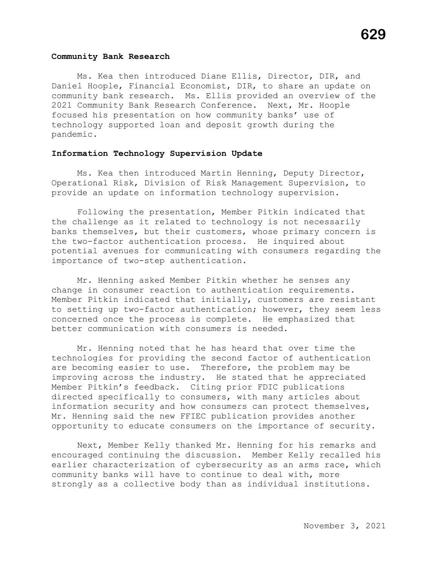## **Community Bank Research**

Ms. Kea then introduced Diane Ellis, Director, DIR, and Daniel Hoople, Financial Economist, DIR, to share an update on community bank research. Ms. Ellis provided an overview of the 2021 Community Bank Research Conference. Next, Mr. Hoople focused his presentation on how community banks' use of technology supported loan and deposit growth during the pandemic.

# **Information Technology Supervision Update**

Ms. Kea then introduced Martin Henning, Deputy Director, Operational Risk, Division of Risk Management Supervision, to provide an update on information technology supervision.

Following the presentation, Member Pitkin indicated that the challenge as it related to technology is not necessarily banks themselves, but their customers, whose primary concern is the two-factor authentication process. He inquired about potential avenues for communicating with consumers regarding the importance of two-step authentication.

Mr. Henning asked Member Pitkin whether he senses any change in consumer reaction to authentication requirements. Member Pitkin indicated that initially, customers are resistant to setting up two-factor authentication; however, they seem less concerned once the process is complete. He emphasized that better communication with consumers is needed.

Mr. Henning noted that he has heard that over time the technologies for providing the second factor of authentication are becoming easier to use. Therefore, the problem may be improving across the industry. He stated that he appreciated Member Pitkin's feedback. Citing prior FDIC publications directed specifically to consumers, with many articles about information security and how consumers can protect themselves, Mr. Henning said the new FFIEC publication provides another opportunity to educate consumers on the importance of security.

Next, Member Kelly thanked Mr. Henning for his remarks and encouraged continuing the discussion. Member Kelly recalled his earlier characterization of cybersecurity as an arms race, which community banks will have to continue to deal with, more strongly as a collective body than as individual institutions.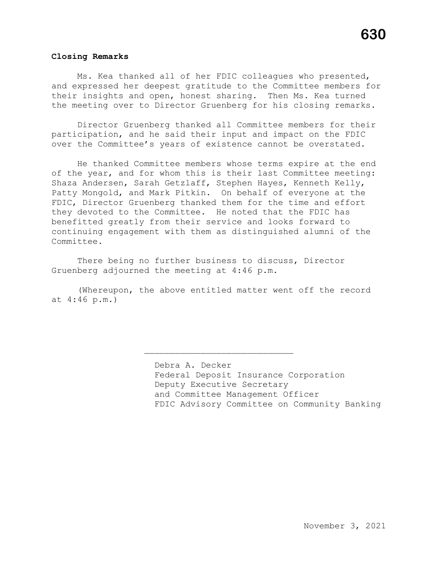## **Closing Remarks**

Ms. Kea thanked all of her FDIC colleagues who presented, and expressed her deepest gratitude to the Committee members for their insights and open, honest sharing. Then Ms. Kea turned the meeting over to Director Gruenberg for his closing remarks.

Director Gruenberg thanked all Committee members for their participation, and he said their input and impact on the FDIC over the Committee's years of existence cannot be overstated.

He thanked Committee members whose terms expire at the end of the year, and for whom this is their last Committee meeting: Shaza Andersen, Sarah Getzlaff, Stephen Hayes, Kenneth Kelly, Patty Mongold, and Mark Pitkin. On behalf of everyone at the FDIC, Director Gruenberg thanked them for the time and effort they devoted to the Committee. He noted that the FDIC has benefitted greatly from their service and looks forward to continuing engagement with them as distinguished alumni of the Committee.

There being no further business to discuss, Director Gruenberg adjourned the meeting at 4:46 p.m.

(Whereupon, the above entitled matter went off the record at 4:46 p.m.)

\_\_\_\_\_\_\_\_\_\_\_\_\_\_\_\_\_\_\_\_\_\_\_\_\_\_\_\_\_

Debra A. Decker Federal Deposit Insurance Corporation Deputy Executive Secretary and Committee Management Officer FDIC Advisory Committee on Community Banking